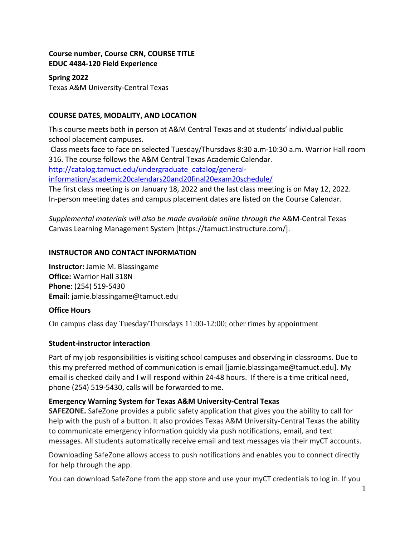## **Course number, Course CRN, COURSE TITLE EDUC 4484-120 Field Experience**

# **Spring 2022**

Texas A&M University-Central Texas

# **COURSE DATES, MODALITY, AND LOCATION**

This course meets both in person at A&M Central Texas and at students' individual public school placement campuses.

Class meets face to face on selected Tuesday/Thursdays 8:30 a.m-10:30 a.m. Warrior Hall room 316. The course follows the A&M Central Texas Academic Calendar.

[http://catalog.tamuct.edu/undergraduate\\_catalog/general-](http://catalog.tamuct.edu/undergraduate_catalog/general-information/academic20calendars20and20final20exam20schedule/)

[information/academic20calendars20and20final20exam20schedule/](http://catalog.tamuct.edu/undergraduate_catalog/general-information/academic20calendars20and20final20exam20schedule/)

The first class meeting is on January 18, 2022 and the last class meeting is on May 12, 2022. In-person meeting dates and campus placement dates are listed on the Course Calendar.

*Supplemental materials will also be made available online through the* A&M-Central Texas Canvas Learning Management System [https://tamuct.instructure.com/].

## **INSTRUCTOR AND CONTACT INFORMATION**

**Instructor:** Jamie M. Blassingame **Office:** Warrior Hall 318N **Phone**: (254) 519-5430 **Email:** jamie.blassingame@tamuct.edu

# **Office Hours**

On campus class day Tuesday/Thursdays 11:00-12:00; other times by appointment

# **Student-instructor interaction**

Part of my job responsibilities is visiting school campuses and observing in classrooms. Due to this my preferred method of communication is email [jamie.blassingame@tamuct.edu]. My email is checked daily and I will respond within 24-48 hours. If there is a time critical need, phone (254) 519-5430, calls will be forwarded to me.

# **Emergency Warning System for Texas A&M University-Central Texas**

**SAFEZONE.** SafeZone provides a public safety application that gives you the ability to call for help with the push of a button. It also provides Texas A&M University-Central Texas the ability to communicate emergency information quickly via push notifications, email, and text messages. All students automatically receive email and text messages via their myCT accounts.

Downloading SafeZone allows access to push notifications and enables you to connect directly for help through the app.

You can download SafeZone from the app store and use your myCT credentials to log in. If you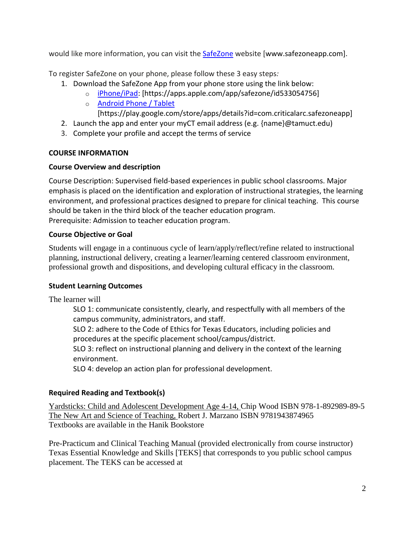would like more information, you can visit the [SafeZone](about:blank) website [www.safezoneapp.com].

To register SafeZone on your phone, please follow these 3 easy steps*:*

- 1. Download the SafeZone App from your phone store using the link below:
	- o [iPhone/iPad:](about:blank) [https://apps.apple.com/app/safezone/id533054756]
	- o [Android Phone / Tablet](about:blank)

[https://play.google.com/store/apps/details?id=com.criticalarc.safezoneapp]

- 2. Launch the app and enter your myCT email address (e.g.  ${name}$ ) $@t$ amuct.edu)
- 3. Complete your profile and accept the terms of service

# **COURSE INFORMATION**

# **Course Overview and description**

Course Description: Supervised field-based experiences in public school classrooms. Major emphasis is placed on the identification and exploration of instructional strategies, the learning environment, and professional practices designed to prepare for clinical teaching. This course should be taken in the third block of the teacher education program. Prerequisite: Admission to teacher education program.

## **Course Objective or Goal**

Students will engage in a continuous cycle of learn/apply/reflect/refine related to instructional planning, instructional delivery, creating a learner/learning centered classroom environment, professional growth and dispositions, and developing cultural efficacy in the classroom.

# **Student Learning Outcomes**

The learner will

SLO 1: communicate consistently, clearly, and respectfully with all members of the campus community, administrators, and staff.

SLO 2: adhere to the Code of Ethics for Texas Educators, including policies and procedures at the specific placement school/campus/district.

SLO 3: reflect on instructional planning and delivery in the context of the learning environment.

SLO 4: develop an action plan for professional development.

# **Required Reading and Textbook(s)**

Yardsticks: Child and Adolescent Development Age 4-14, Chip Wood ISBN 978-1-892989-89-5 The New Art and Science of Teaching, Robert J. Marzano ISBN 9781943874965 Textbooks are available in the Hanik Bookstore

Pre-Practicum and Clinical Teaching Manual (provided electronically from course instructor) Texas Essential Knowledge and Skills [TEKS] that corresponds to you public school campus placement. The TEKS can be accessed at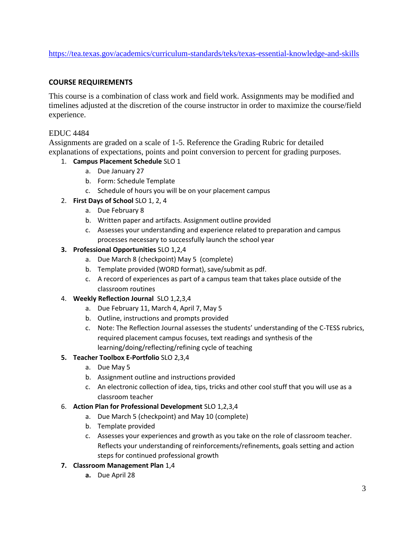<https://tea.texas.gov/academics/curriculum-standards/teks/texas-essential-knowledge-and-skills>

#### **COURSE REQUIREMENTS**

This course is a combination of class work and field work. Assignments may be modified and timelines adjusted at the discretion of the course instructor in order to maximize the course/field experience.

#### EDUC 4484

Assignments are graded on a scale of 1-5. Reference the Grading Rubric for detailed explanations of expectations, points and point conversion to percent for grading purposes.

#### 1. **Campus Placement Schedule** SLO 1

- a. Due January 27
- b. Form: Schedule Template
- c. Schedule of hours you will be on your placement campus
- 2. **First Days of School** SLO 1, 2, 4
	- a. Due February 8
	- b. Written paper and artifacts. Assignment outline provided
	- c. Assesses your understanding and experience related to preparation and campus processes necessary to successfully launch the school year

#### **3. Professional Opportunities** SLO 1,2,4

- a. Due March 8 (checkpoint) May 5 (complete)
- b. Template provided (WORD format), save/submit as pdf.
- c. A record of experiences as part of a campus team that takes place outside of the classroom routines

#### 4. **Weekly Reflection Journal** SLO 1,2,3,4

- a. Due February 11, March 4, April 7, May 5
- b. Outline, instructions and prompts provided
- c. Note: The Reflection Journal assesses the students' understanding of the C-TESS rubrics, required placement campus focuses, text readings and synthesis of the learning/doing/reflecting/refining cycle of teaching

#### **5. Teacher Toolbox E-Portfolio** SLO 2,3,4

- a. Due May 5
- b. Assignment outline and instructions provided
- c. An electronic collection of idea, tips, tricks and other cool stuff that you will use as a classroom teacher

#### 6. **Action Plan for Professional Development** SLO 1,2,3,4

- a. Due March 5 (checkpoint) and May 10 (complete)
- b. Template provided
- c. Assesses your experiences and growth as you take on the role of classroom teacher. Reflects your understanding of reinforcements/refinements, goals setting and action steps for continued professional growth

#### **7. Classroom Management Plan** 1,4

**a.** Due April 28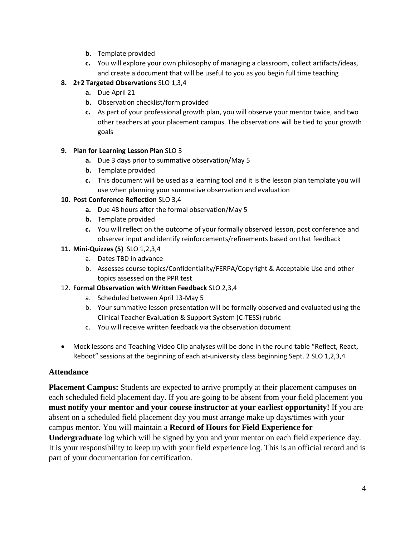- **b.** Template provided
- **c.** You will explore your own philosophy of managing a classroom, collect artifacts/ideas, and create a document that will be useful to you as you begin full time teaching

#### **8. 2+2 Targeted Observations** SLO 1,3,4

- **a.** Due April 21
- **b.** Observation checklist/form provided
- **c.** As part of your professional growth plan, you will observe your mentor twice, and two other teachers at your placement campus. The observations will be tied to your growth goals

#### **9. Plan for Learning Lesson Plan** SLO 3

- **a.** Due 3 days prior to summative observation/May 5
- **b.** Template provided
- **c.** This document will be used as a learning tool and it is the lesson plan template you will use when planning your summative observation and evaluation

#### **10. Post Conference Reflection** SLO 3,4

- **a.** Due 48 hours after the formal observation/May 5
- **b.** Template provided
- **c.** You will reflect on the outcome of your formally observed lesson, post conference and observer input and identify reinforcements/refinements based on that feedback

#### **11. Mini-Quizzes (5)** SLO 1,2,3,4

- a. Dates TBD in advance
- b. Assesses course topics/Confidentiality/FERPA/Copyright & Acceptable Use and other topics assessed on the PPR test
- 12. **Formal Observation with Written Feedback** SLO 2,3,4
	- a. Scheduled between April 13-May 5
	- b. Your summative lesson presentation will be formally observed and evaluated using the Clinical Teacher Evaluation & Support System (C-TESS) rubric
	- c. You will receive written feedback via the observation document
- Mock lessons and Teaching Video Clip analyses will be done in the round table "Reflect, React, Reboot" sessions at the beginning of each at-university class beginning Sept. 2 SLO 1,2,3,4

## **Attendance**

**Placement Campus:** Students are expected to arrive promptly at their placement campuses on each scheduled field placement day. If you are going to be absent from your field placement you **must notify your mentor and your course instructor at your earliest opportunity!** If you are absent on a scheduled field placement day you must arrange make up days/times with your campus mentor. You will maintain a **Record of Hours for Field Experience for Undergraduate** log which will be signed by you and your mentor on each field experience day. It is your responsibility to keep up with your field experience log. This is an official record and is part of your documentation for certification.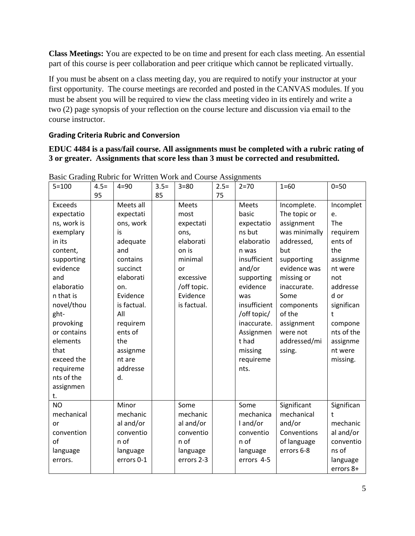**Class Meetings:** You are expected to be on time and present for each class meeting. An essential part of this course is peer collaboration and peer critique which cannot be replicated virtually.

If you must be absent on a class meeting day, you are required to notify your instructor at your first opportunity. The course meetings are recorded and posted in the CANVAS modules. If you must be absent you will be required to view the class meeting video in its entirely and write a two (2) page synopsis of your reflection on the course lecture and discussion via email to the course instructor.

# **Grading Criteria Rubric and Conversion**

**EDUC 4484 is a pass/fail course. All assignments must be completed with a rubric rating of 3 or greater. Assignments that score less than 3 must be corrected and resubmitted.**

| $5 = 100$                                                                                                                                                                                                                                                 | $4.5=$ | $4 = 90$                                                                                                                                                                                                         | $3.5=$ | $3 = 80$                                                                                                                         | $2.5=$ | $2 = 70$                                                                                                                                                                                                                            | $1 = 60$                                                                                                                                                                                                                       | $0 = 50$                                                                                                                                                                              |
|-----------------------------------------------------------------------------------------------------------------------------------------------------------------------------------------------------------------------------------------------------------|--------|------------------------------------------------------------------------------------------------------------------------------------------------------------------------------------------------------------------|--------|----------------------------------------------------------------------------------------------------------------------------------|--------|-------------------------------------------------------------------------------------------------------------------------------------------------------------------------------------------------------------------------------------|--------------------------------------------------------------------------------------------------------------------------------------------------------------------------------------------------------------------------------|---------------------------------------------------------------------------------------------------------------------------------------------------------------------------------------|
| <b>Exceeds</b><br>expectatio<br>ns, work is<br>exemplary<br>in its<br>content,<br>supporting<br>evidence<br>and<br>elaboratio<br>n that is<br>novel/thou<br>ght-<br>provoking<br>or contains<br>elements<br>that<br>exceed the<br>requireme<br>nts of the | 95     | Meets all<br>expectati<br>ons, work<br>is<br>adequate<br>and<br>contains<br>succinct<br>elaborati<br>on.<br>Evidence<br>is factual.<br>All<br>requirem<br>ents of<br>the<br>assignme<br>nt are<br>addresse<br>d. | 85     | Meets<br>most<br>expectati<br>ons,<br>elaborati<br>on is<br>minimal<br>or<br>excessive<br>/off topic.<br>Evidence<br>is factual. | 75     | <b>Meets</b><br>basic<br>expectatio<br>ns but<br>elaboratio<br>n was<br>insufficient<br>and/or<br>supporting<br>evidence<br>was<br>insufficient<br>/off topic/<br>inaccurate.<br>Assignmen<br>t had<br>missing<br>requireme<br>nts. | Incomplete.<br>The topic or<br>assignment<br>was minimally<br>addressed,<br>but<br>supporting<br>evidence was<br>missing or<br>inaccurate.<br>Some<br>components<br>of the<br>assignment<br>were not<br>addressed/mi<br>ssing. | Incomplet<br>e.<br>The<br>requirem<br>ents of<br>the<br>assignme<br>nt were<br>not<br>addresse<br>d or<br>significan<br>t<br>compone<br>nts of the<br>assignme<br>nt were<br>missing. |
| assignmen<br>t.                                                                                                                                                                                                                                           |        |                                                                                                                                                                                                                  |        |                                                                                                                                  |        |                                                                                                                                                                                                                                     |                                                                                                                                                                                                                                |                                                                                                                                                                                       |
| <b>NO</b><br>mechanical<br>or<br>convention<br>of<br>language<br>errors.                                                                                                                                                                                  |        | Minor<br>mechanic<br>al and/or<br>conventio<br>n of<br>language<br>errors 0-1                                                                                                                                    |        | Some<br>mechanic<br>al and/or<br>conventio<br>n of<br>language<br>errors 2-3                                                     |        | Some<br>mechanica<br>I and/or<br>conventio<br>n of<br>language<br>errors 4-5                                                                                                                                                        | Significant<br>mechanical<br>and/or<br>Conventions<br>of language<br>errors 6-8                                                                                                                                                | Significan<br>$\ddagger$<br>mechanic<br>al and/or<br>conventio<br>ns of<br>language<br>errors 8+                                                                                      |

Basic Grading Rubric for Written Work and Course Assignments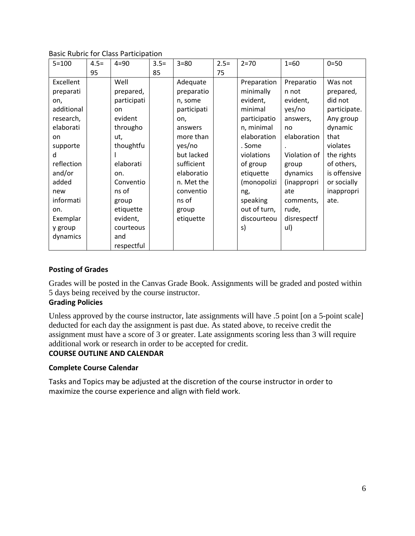#### Basic Rubric for Class Participation

| $5 = 100$  | $4.5=$ | $4 = 90$    | $3.5=$ | $3 = 80$    | $2.5=$ | $2 = 70$     | $1 = 60$     | $0 = 50$     |
|------------|--------|-------------|--------|-------------|--------|--------------|--------------|--------------|
|            | 95     |             | 85     |             | 75     |              |              |              |
| Excellent  |        | Well        |        | Adequate    |        | Preparation  | Preparatio   | Was not      |
| preparati  |        | prepared,   |        | preparatio  |        | minimally    | n not        | prepared,    |
| on,        |        | participati |        | n, some     |        | evident,     | evident,     | did not      |
| additional |        | on          |        | participati |        | minimal      | yes/no       | participate. |
| research,  |        | evident     |        | on,         |        | participatio | answers,     | Any group    |
| elaborati  |        | througho    |        | answers     |        | n, minimal   | no           | dynamic      |
| on         |        | ut,         |        | more than   |        | elaboration  | elaboration  | that         |
| supporte   |        | thoughtfu   |        | yes/no      |        | . Some       |              | violates     |
| d          |        |             |        | but lacked  |        | violations   | Violation of | the rights   |
| reflection |        | elaborati   |        | sufficient  |        | of group     | group        | of others,   |
| and/or     |        | on.         |        | elaboratio  |        | etiquette    | dynamics     | is offensive |
| added      |        | Conventio   |        | n. Met the  |        | (monopolizi  | (inappropri  | or socially  |
| new        |        | ns of       |        | conventio   |        | ng,          | ate          | inappropri   |
| informati  |        | group       |        | ns of       |        | speaking     | comments,    | ate.         |
| on.        |        | etiquette   |        | group       |        | out of turn, | rude,        |              |
| Exemplar   |        | evident,    |        | etiquette   |        | discourteou  | disrespectf  |              |
| y group    |        | courteous   |        |             |        | s)           | ul)          |              |
| dynamics   |        | and         |        |             |        |              |              |              |
|            |        | respectful  |        |             |        |              |              |              |

#### **Posting of Grades**

Grades will be posted in the Canvas Grade Book. Assignments will be graded and posted within 5 days being received by the course instructor.

#### **Grading Policies**

Unless approved by the course instructor, late assignments will have .5 point [on a 5-point scale] deducted for each day the assignment is past due. As stated above, to receive credit the assignment must have a score of 3 or greater. Late assignments scoring less than 3 will require additional work or research in order to be accepted for credit.

#### **COURSE OUTLINE AND CALENDAR**

#### **Complete Course Calendar**

Tasks and Topics may be adjusted at the discretion of the course instructor in order to maximize the course experience and align with field work.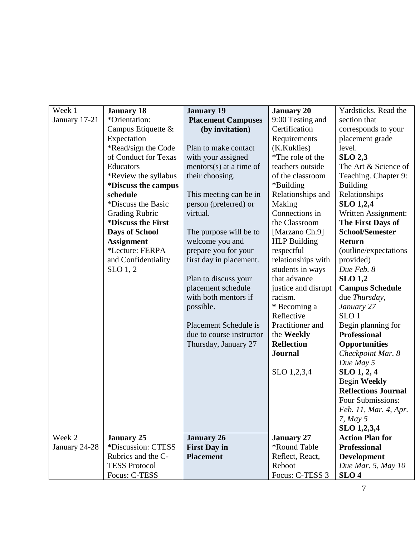| Week 1        | <b>January 18</b>                 | <b>January 19</b>          | <b>January 20</b>   | Yardsticks. Read the       |
|---------------|-----------------------------------|----------------------------|---------------------|----------------------------|
| January 17-21 | *Orientation:                     | <b>Placement Campuses</b>  | 9:00 Testing and    | section that               |
|               | Campus Etiquette &                | (by invitation)            | Certification       | corresponds to your        |
|               | Expectation                       |                            | Requirements        | placement grade            |
|               | *Read/sign the Code               | Plan to make contact       | (K.Kuklies)         | level.                     |
|               | of Conduct for Texas              | with your assigned         | *The role of the    | $SLO$ 2,3                  |
|               | Educators                         | mentors $(s)$ at a time of | teachers outside    | The Art & Science of       |
|               | *Review the syllabus              | their choosing.            | of the classroom    | Teaching. Chapter 9:       |
|               | <i><b>*Discuss the campus</b></i> |                            | *Building           | <b>Building</b>            |
|               | schedule                          | This meeting can be in     | Relationships and   | Relationships              |
|               | *Discuss the Basic                | person (preferred) or      | Making              | <b>SLO 1,2,4</b>           |
|               | <b>Grading Rubric</b>             | virtual.                   | Connections in      | Written Assignment:        |
|               | <i><b>*Discuss the First</b></i>  |                            | the Classroom       | The First Days of          |
|               | <b>Days of School</b>             | The purpose will be to     | [Marzano Ch.9]      | <b>School/Semester</b>     |
|               | <b>Assignment</b>                 | welcome you and            | <b>HLP Building</b> | <b>Return</b>              |
|               | *Lecture: FERPA                   | prepare you for your       | respectful          | (outline/expectations)     |
|               | and Confidentiality               | first day in placement.    | relationships with  | provided)                  |
|               | SLO <sub>1</sub> , 2              |                            | students in ways    | Due Feb. 8                 |
|               |                                   | Plan to discuss your       | that advance        | <b>SLO 1,2</b>             |
|               |                                   | placement schedule         | justice and disrupt | <b>Campus Schedule</b>     |
|               |                                   | with both mentors if       | racism.             | due Thursday,              |
|               |                                   | possible.                  | * Becoming a        | January 27                 |
|               |                                   |                            | Reflective          | SLO <sub>1</sub>           |
|               |                                   | Placement Schedule is      | Practitioner and    | Begin planning for         |
|               |                                   | due to course instructor   | the Weekly          | <b>Professional</b>        |
|               |                                   | Thursday, January 27       | <b>Reflection</b>   | <b>Opportunities</b>       |
|               |                                   |                            | <b>Journal</b>      | Checkpoint Mar. 8          |
|               |                                   |                            |                     | Due May 5                  |
|               |                                   |                            | SLO 1,2,3,4         | $SLO$ 1, 2, 4              |
|               |                                   |                            |                     | <b>Begin Weekly</b>        |
|               |                                   |                            |                     | <b>Reflections Journal</b> |
|               |                                   |                            |                     | Four Submissions:          |
|               |                                   |                            |                     | Feb. 11, Mar. 4, Apr.      |
|               |                                   |                            |                     | 7, May $5$                 |
|               |                                   |                            |                     | SLO 1,2,3,4                |
| Week 2        | <b>January 25</b>                 | <b>January 26</b>          | <b>January 27</b>   | <b>Action Plan for</b>     |
| January 24-28 | *Discussion: CTESS                | <b>First Day in</b>        | *Round Table        | <b>Professional</b>        |
|               | Rubrics and the C-                | <b>Placement</b>           | Reflect, React,     | Development                |
|               | <b>TESS Protocol</b>              |                            | Reboot              | Due Mar. 5, May $10$       |
|               | Focus: C-TESS                     |                            | Focus: C-TESS 3     | SLO <sub>4</sub>           |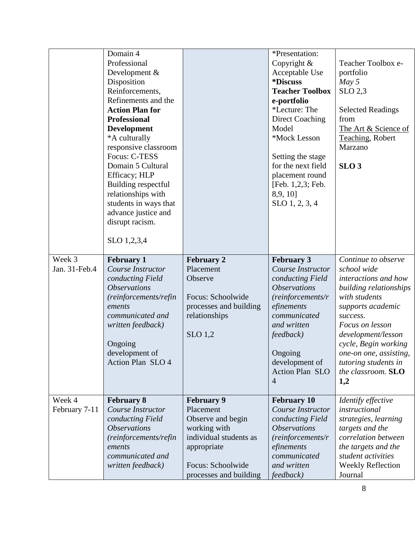|                         | Domain 4<br>Professional<br>Development &<br>Disposition<br>Reinforcements,<br>Refinements and the<br><b>Action Plan for</b><br><b>Professional</b><br><b>Development</b><br>*A culturally<br>responsive classroom<br>Focus: C-TESS<br>Domain 5 Cultural<br>Efficacy; HLP<br>Building respectful<br>relationships with<br>students in ways that<br>advance justice and<br>disrupt racism.<br>SLO 1,2,3,4 |                                                                                                                                                             | *Presentation:<br>Copyright &<br>Acceptable Use<br><i><b>*Discuss</b></i><br><b>Teacher Toolbox</b><br>e-portfolio<br>*Lecture: The<br><b>Direct Coaching</b><br>Model<br>*Mock Lesson<br>Setting the stage<br>for the next field<br>placement round<br>[Feb. 1,2,3; Feb.<br>8,9, 10]<br>SLO 1, 2, 3, 4 | Teacher Toolbox e-<br>portfolio<br>$May\,5$<br>SLO 2,3<br><b>Selected Readings</b><br>from<br>The Art & Science of<br>Teaching, Robert<br>Marzano<br>SLO <sub>3</sub>                                                                                                                  |
|-------------------------|----------------------------------------------------------------------------------------------------------------------------------------------------------------------------------------------------------------------------------------------------------------------------------------------------------------------------------------------------------------------------------------------------------|-------------------------------------------------------------------------------------------------------------------------------------------------------------|---------------------------------------------------------------------------------------------------------------------------------------------------------------------------------------------------------------------------------------------------------------------------------------------------------|----------------------------------------------------------------------------------------------------------------------------------------------------------------------------------------------------------------------------------------------------------------------------------------|
| Week 3<br>Jan. 31-Feb.4 | <b>February 1</b><br>Course Instructor<br>conducting Field<br><i><b>Observations</b></i><br>(reinforcements/refin<br>ements<br>communicated and<br>written feedback)<br>Ongoing<br>development of<br>Action Plan SLO 4                                                                                                                                                                                   | <b>February 2</b><br>Placement<br>Observe<br>Focus: Schoolwide<br>processes and building<br>relationships<br>$SLO$ 1,2                                      | <b>February 3</b><br>Course Instructor<br>conducting Field<br><i><b>Observations</b></i><br>(reinforcements/r<br>efinements<br>communicated<br>and written<br><i>feedback</i> )<br>Ongoing<br>development of<br><b>Action Plan SLO</b><br>$\overline{4}$                                                | Continue to observe<br>school wide<br>interactions and how<br>building relationships<br>with students<br>supports academic<br>success.<br>Focus on lesson<br>development/lesson<br>cycle, Begin working<br>one-on one, assisting,<br>tutoring students in<br>the classroom. SLO<br>1,2 |
| Week 4<br>February 7-11 | <b>February 8</b><br>Course Instructor<br>conducting Field<br><i><b>Observations</b></i><br>(reinforcements/refin<br>ements<br>communicated and<br>written feedback)                                                                                                                                                                                                                                     | <b>February 9</b><br>Placement<br>Observe and begin<br>working with<br>individual students as<br>appropriate<br>Focus: Schoolwide<br>processes and building | <b>February 10</b><br>Course Instructor<br>conducting Field<br><i><b>Observations</b></i><br>(reinforcements/r<br>efinements<br>communicated<br>and written<br>feedback)                                                                                                                                | Identify effective<br>instructional<br>strategies, learning<br>targets and the<br>correlation between<br>the targets and the<br>student activities<br><b>Weekly Reflection</b><br>Journal                                                                                              |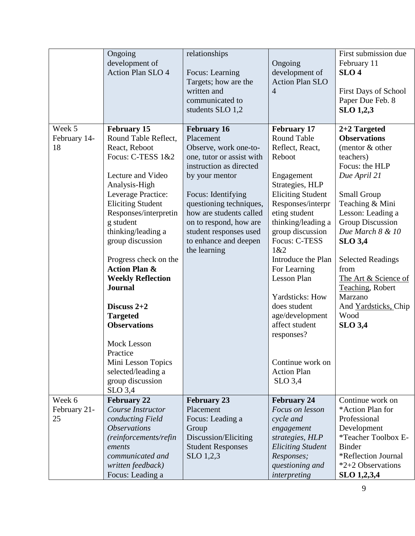|                              | Ongoing<br>development of<br><b>Action Plan SLO 4</b>                                                                                                                                                                                                                                                                                                                                                                                                                                                                                 | relationships<br>Focus: Learning<br>Targets; how are the<br>written and<br>communicated to<br>students SLO 1,2                                                                                                                                                                                              | Ongoing<br>development of<br><b>Action Plan SLO</b><br>$\overline{4}$                                                                                                                                                                                                                                                                                                                                                                               | First submission due<br>February 11<br>SLO <sub>4</sub><br><b>First Days of School</b><br>Paper Due Feb. 8<br><b>SLO 1,2,3</b>                                                                                                                                                                                                                                             |
|------------------------------|---------------------------------------------------------------------------------------------------------------------------------------------------------------------------------------------------------------------------------------------------------------------------------------------------------------------------------------------------------------------------------------------------------------------------------------------------------------------------------------------------------------------------------------|-------------------------------------------------------------------------------------------------------------------------------------------------------------------------------------------------------------------------------------------------------------------------------------------------------------|-----------------------------------------------------------------------------------------------------------------------------------------------------------------------------------------------------------------------------------------------------------------------------------------------------------------------------------------------------------------------------------------------------------------------------------------------------|----------------------------------------------------------------------------------------------------------------------------------------------------------------------------------------------------------------------------------------------------------------------------------------------------------------------------------------------------------------------------|
| Week 5<br>February 14-<br>18 | <b>February 15</b><br>Round Table Reflect,<br>React, Reboot<br>Focus: C-TESS 1&2<br>Lecture and Video<br>Analysis-High<br>Leverage Practice:<br><b>Eliciting Student</b><br>Responses/interpretin<br>g student<br>thinking/leading a<br>group discussion<br>Progress check on the<br><b>Action Plan &amp;</b><br><b>Weekly Reflection</b><br><b>Journal</b><br>Discuss $2+2$<br><b>Targeted</b><br><b>Observations</b><br><b>Mock Lesson</b><br>Practice<br>Mini Lesson Topics<br>selected/leading a<br>group discussion<br>$SLO$ 3,4 | <b>February 16</b><br>Placement<br>Observe, work one-to-<br>one, tutor or assist with<br>instruction as directed<br>by your mentor<br>Focus: Identifying<br>questioning techniques,<br>how are students called<br>on to respond, how are<br>student responses used<br>to enhance and deepen<br>the learning | <b>February 17</b><br><b>Round Table</b><br>Reflect, React,<br>Reboot<br>Engagement<br>Strategies, HLP<br><b>Eliciting Student</b><br>Responses/interpr<br>eting student<br>thinking/leading a<br>group discussion<br>Focus: C-TESS<br>1&2<br>Introduce the Plan<br>For Learning<br><b>Lesson Plan</b><br>Yardsticks: How<br>does student<br>age/development<br>affect student<br>responses?<br>Continue work on<br><b>Action Plan</b><br>$SLO$ 3,4 | 2+2 Targeted<br><b>Observations</b><br>(mentor & other<br>teachers)<br>Focus: the HLP<br>Due April 21<br><b>Small Group</b><br>Teaching & Mini<br>Lesson: Leading a<br>Group Discussion<br>Due March 8 & 10<br><b>SLO 3,4</b><br><b>Selected Readings</b><br>from<br>The Art & Science of<br>Teaching, Robert<br>Marzano<br>And Yardsticks, Chip<br>Wood<br><b>SLO 3,4</b> |
| Week 6<br>February 21-<br>25 | <b>February 22</b><br>Course Instructor<br>conducting Field<br><i><b>Observations</b></i><br>(reinforcements/refin<br>ements<br>communicated and<br>written feedback)<br>Focus: Leading a                                                                                                                                                                                                                                                                                                                                             | <b>February 23</b><br>Placement<br>Focus: Leading a<br>Group<br>Discussion/Eliciting<br><b>Student Responses</b><br>SLO 1,2,3                                                                                                                                                                               | <b>February 24</b><br>Focus on lesson<br>cycle and<br>engagement<br>strategies, HLP<br><b>Eliciting Student</b><br>Responses;<br>questioning and<br>interpreting                                                                                                                                                                                                                                                                                    | Continue work on<br>*Action Plan for<br>Professional<br>Development<br>*Teacher Toolbox E-<br><b>Binder</b><br>*Reflection Journal<br>*2+2 Observations<br>SLO 1,2,3,4                                                                                                                                                                                                     |

9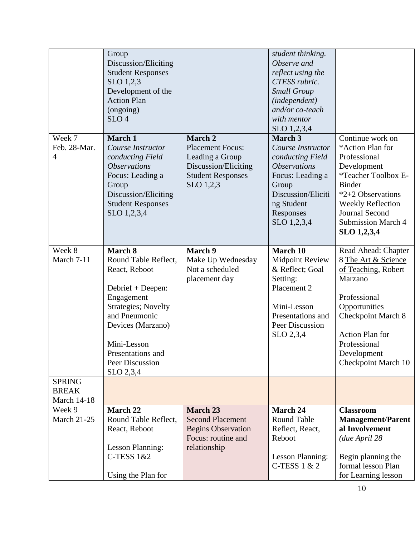| Week 7<br>Feb. 28-Mar.                              | Group<br>Discussion/Eliciting<br><b>Student Responses</b><br>SLO 1,2,3<br>Development of the<br><b>Action Plan</b><br>(ongoing)<br>SLO <sub>4</sub><br>March 1<br>Course Instructor                                          | <b>March 2</b><br><b>Placement Focus:</b>                                                                     | student thinking.<br>Observe and<br>reflect using the<br>CTESS rubric.<br><b>Small Group</b><br>(independent)<br>and/or co-teach<br>with mentor<br>SLO 1,2,3,4<br>March 3<br>Course Instructor | Continue work on<br>*Action Plan for                                                                                                                                                                                       |
|-----------------------------------------------------|------------------------------------------------------------------------------------------------------------------------------------------------------------------------------------------------------------------------------|---------------------------------------------------------------------------------------------------------------|------------------------------------------------------------------------------------------------------------------------------------------------------------------------------------------------|----------------------------------------------------------------------------------------------------------------------------------------------------------------------------------------------------------------------------|
| $\overline{4}$                                      | conducting Field<br><i><b>Observations</b></i><br>Focus: Leading a<br>Group<br>Discussion/Eliciting<br><b>Student Responses</b><br>SLO 1,2,3,4                                                                               | Leading a Group<br>Discussion/Eliciting<br><b>Student Responses</b><br>SLO 1,2,3                              | conducting Field<br><i><b>Observations</b></i><br>Focus: Leading a<br>Group<br>Discussion/Eliciti<br>ng Student<br>Responses<br>SLO 1,2,3,4                                                    | Professional<br>Development<br>*Teacher Toolbox E-<br><b>Binder</b><br>*2+2 Observations<br><b>Weekly Reflection</b><br><b>Journal Second</b><br><b>Submission March 4</b><br>SLO 1,2,3,4                                  |
| Week 8<br>March 7-11                                | March 8<br>Round Table Reflect,<br>React, Reboot<br>Debrief + Deepen:<br>Engagement<br><b>Strategies</b> ; Novelty<br>and Pneumonic<br>Devices (Marzano)<br>Mini-Lesson<br>Presentations and<br>Peer Discussion<br>SLO 2,3,4 | <b>March 9</b><br>Make Up Wednesday<br>Not a scheduled<br>placement day                                       | March 10<br><b>Midpoint Review</b><br>& Reflect; Goal<br>Setting:<br>Placement 2<br>Mini-Lesson<br>Presentations and<br>Peer Discussion<br>SLO 2,3,4                                           | Read Ahead: Chapter<br>8 The Art & Science<br>of Teaching, Robert<br>Marzano<br>Professional<br>Opportunities<br><b>Checkpoint March 8</b><br><b>Action Plan for</b><br>Professional<br>Development<br>Checkpoint March 10 |
| <b>SPRING</b><br><b>BREAK</b><br><b>March 14-18</b> |                                                                                                                                                                                                                              |                                                                                                               |                                                                                                                                                                                                |                                                                                                                                                                                                                            |
| Week 9<br><b>March 21-25</b>                        | March 22<br>Round Table Reflect,<br>React, Reboot<br><b>Lesson Planning:</b><br><b>C-TESS 1&amp;2</b><br>Using the Plan for                                                                                                  | <b>March 23</b><br><b>Second Placement</b><br><b>Begins Observation</b><br>Focus: routine and<br>relationship | <b>March 24</b><br><b>Round Table</b><br>Reflect, React,<br>Reboot<br><b>Lesson Planning:</b><br>C-TESS $1 & 2$                                                                                | <b>Classroom</b><br><b>Management/Parent</b><br>al Involvement<br>(due April 28<br>Begin planning the<br>formal lesson Plan<br>for Learning lesson                                                                         |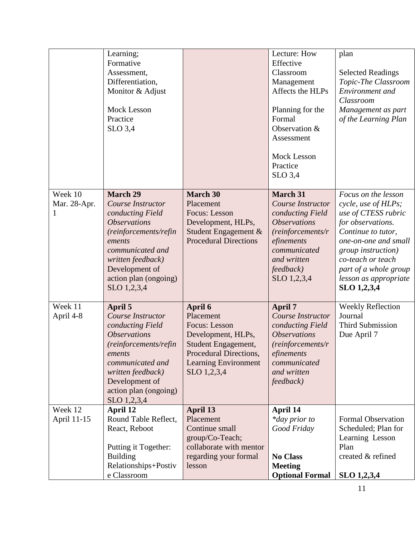|                              | Learning;<br>Formative<br>Assessment,<br>Differentiation,                                                                                                                                                                    |                                                                                                                                                            | Lecture: How<br>Effective<br>Classroom<br>Management                                                                                                                                         | plan<br><b>Selected Readings</b><br>Topic-The Classroom                                                                                                                                                                                          |
|------------------------------|------------------------------------------------------------------------------------------------------------------------------------------------------------------------------------------------------------------------------|------------------------------------------------------------------------------------------------------------------------------------------------------------|----------------------------------------------------------------------------------------------------------------------------------------------------------------------------------------------|--------------------------------------------------------------------------------------------------------------------------------------------------------------------------------------------------------------------------------------------------|
|                              | Monitor & Adjust<br>Mock Lesson<br>Practice                                                                                                                                                                                  |                                                                                                                                                            | Affects the HLPs<br>Planning for the<br>Formal                                                                                                                                               | Environment and<br>Classroom<br>Management as part<br>of the Learning Plan                                                                                                                                                                       |
|                              | $SLO$ 3,4                                                                                                                                                                                                                    |                                                                                                                                                            | Observation &<br>Assessment<br><b>Mock Lesson</b>                                                                                                                                            |                                                                                                                                                                                                                                                  |
|                              |                                                                                                                                                                                                                              |                                                                                                                                                            | Practice<br>$SLO$ 3,4                                                                                                                                                                        |                                                                                                                                                                                                                                                  |
| Week 10<br>Mar. 28-Apr.<br>1 | <b>March 29</b><br>Course Instructor<br>conducting Field<br><i><b>Observations</b></i><br>(reinforcements/refin<br>ements<br>communicated and<br>written feedback)<br>Development of<br>action plan (ongoing)<br>SLO 1,2,3,4 | <b>March 30</b><br>Placement<br>Focus: Lesson<br>Development, HLPs,<br>Student Engagement &<br><b>Procedural Directions</b>                                | <b>March 31</b><br>Course Instructor<br>conducting Field<br><i><b>Observations</b></i><br>(reinforcements/r<br>efinements<br>communicated<br>and written<br><i>feedback</i> )<br>SLO 1,2,3,4 | Focus on the lesson<br>cycle, use of HLPs;<br>use of CTESS rubric<br>for observations.<br>Continue to tutor,<br>one-on-one and small<br>group instruction)<br>co-teach or teach<br>part of a whole group<br>lesson as appropriate<br>SLO 1,2,3,4 |
| Week 11<br>April 4-8         | April 5<br>Course Instructor<br>conducting Field<br><b>Observations</b><br>(reinforcements/refin<br>ements<br>communicated and<br>written feedback)<br>Development of<br>action plan (ongoing)<br>SLO 1,2,3,4                | April 6<br>Placement<br>Focus: Lesson<br>Development, HLPs,<br>Student Engagement,<br>Procedural Directions,<br><b>Learning Environment</b><br>SLO 1,2,3,4 | <b>April 7</b><br>Course Instructor<br>conducting Field<br><b>Observations</b><br>(reinforcements/r<br>efinements<br>communicated<br>and written<br>feedback)                                | <b>Weekly Reflection</b><br>Journal<br><b>Third Submission</b><br>Due April 7                                                                                                                                                                    |
| Week 12<br>April 11-15       | April 12<br>Round Table Reflect,<br>React, Reboot<br>Putting it Together:<br><b>Building</b><br>Relationships+Postiv<br>e Classroom                                                                                          | April 13<br>Placement<br>Continue small<br>group/Co-Teach;<br>collaborate with mentor<br>regarding your formal<br>lesson                                   | April 14<br>*day prior to<br>Good Friday<br><b>No Class</b><br><b>Meeting</b><br><b>Optional Formal</b>                                                                                      | Formal Observation<br>Scheduled; Plan for<br>Learning Lesson<br>Plan<br>created & refined<br>SLO 1,2,3,4                                                                                                                                         |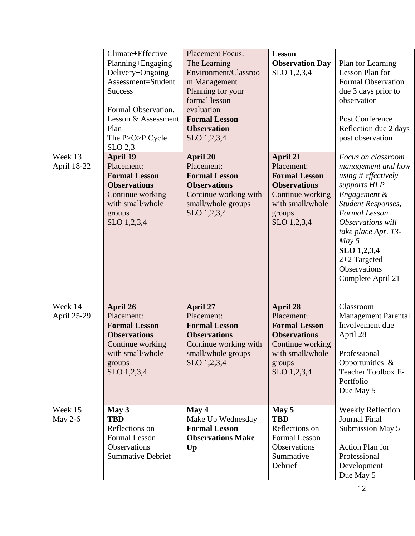|                           | Climate+Effective<br>Planning+Engaging<br>Delivery+Ongoing<br>Assessment=Student<br><b>Success</b><br>Formal Observation,<br>Lesson & Assessment<br>Plan<br>The P>O>P Cycle<br>SLO 2,3 | <b>Placement Focus:</b><br>The Learning<br>Environment/Classroo<br>m Management<br>Planning for your<br>formal lesson<br>evaluation<br><b>Formal Lesson</b><br><b>Observation</b><br>SLO 1,2,3,4 | <b>Lesson</b><br><b>Observation Day</b><br>SLO 1,2,3,4                                                                                        | Plan for Learning<br>Lesson Plan for<br><b>Formal Observation</b><br>due 3 days prior to<br>observation<br>Post Conference<br>Reflection due 2 days<br>post observation                                                                                                   |
|---------------------------|----------------------------------------------------------------------------------------------------------------------------------------------------------------------------------------|--------------------------------------------------------------------------------------------------------------------------------------------------------------------------------------------------|-----------------------------------------------------------------------------------------------------------------------------------------------|---------------------------------------------------------------------------------------------------------------------------------------------------------------------------------------------------------------------------------------------------------------------------|
| Week 13<br>April 18-22    | <b>April 19</b><br>Placement:<br><b>Formal Lesson</b><br><b>Observations</b><br>Continue working<br>with small/whole<br>groups<br>SLO 1,2,3,4                                          | <b>April 20</b><br>Placement:<br><b>Formal Lesson</b><br><b>Observations</b><br>Continue working with<br>small/whole groups<br>SLO 1,2,3,4                                                       | April 21<br>Placement:<br><b>Formal Lesson</b><br><b>Observations</b><br>Continue working<br>with small/whole<br>groups<br>SLO 1,2,3,4        | Focus on classroom<br>management and how<br>using it effectively<br>supports HLP<br>Engagement &<br><b>Student Responses;</b><br>Formal Lesson<br>Observations will<br>take place Apr. 13-<br>May 5<br>SLO 1,2,3,4<br>$2+2$ Targeted<br>Observations<br>Complete April 21 |
| Week 14<br>April 25-29    | April 26<br>Placement:<br><b>Formal Lesson</b><br><b>Observations</b><br>Continue working<br>with small/whole<br>groups<br>SLO 1,2,3,4                                                 | <b>April 27</b><br>Placement:<br><b>Formal Lesson</b><br><b>Observations</b><br>Continue working with<br>small/whole groups<br>SLO 1,2,3,4                                                       | <b>April 28</b><br>Placement:<br><b>Formal Lesson</b><br><b>Observations</b><br>Continue working<br>with small/whole<br>groups<br>SLO 1,2,3,4 | Classroom<br><b>Management Parental</b><br>Involvement due<br>April 28<br>Professional<br>Opportunities &<br><b>Teacher Toolbox E-</b><br>Portfolio<br>Due May 5                                                                                                          |
| Week 15<br><b>May 2-6</b> | May 3<br><b>TBD</b><br>Reflections on<br>Formal Lesson<br>Observations<br><b>Summative Debrief</b>                                                                                     | May 4<br>Make Up Wednesday<br><b>Formal Lesson</b><br><b>Observations Make</b><br>Up                                                                                                             | May 5<br><b>TBD</b><br>Reflections on<br>Formal Lesson<br>Observations<br>Summative<br>Debrief                                                | <b>Weekly Reflection</b><br>Journal Final<br>Submission May 5<br>Action Plan for<br>Professional<br>Development<br>Due May 5                                                                                                                                              |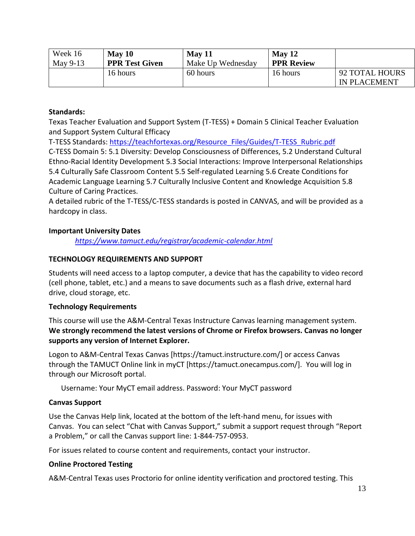| Week 16  | $\text{May } 10$      | $\text{May } 11$  | $M$ ay 12         |                     |
|----------|-----------------------|-------------------|-------------------|---------------------|
| May 9-13 | <b>PPR Test Given</b> | Make Up Wednesday | <b>PPR Review</b> |                     |
|          | 16 hours              | 60 hours          | 16 hours          | 92 TOTAL HOURS      |
|          |                       |                   |                   | <b>IN PLACEMENT</b> |

#### **Standards:**

Texas Teacher Evaluation and Support System (T-TESS) + Domain 5 Clinical Teacher Evaluation and Support System Cultural Efficacy

T-TESS Standards[: https://teachfortexas.org/Resource\\_Files/Guides/T-TESS\\_Rubric.pdf](https://teachfortexas.org/Resource_Files/Guides/T-TESS_Rubric.pdf)

C-TESS Domain 5: 5.1 Diversity: Develop Consciousness of Differences, 5.2 Understand Cultural Ethno-Racial Identity Development 5.3 Social Interactions: Improve Interpersonal Relationships 5.4 Culturally Safe Classroom Content 5.5 Self-regulated Learning 5.6 Create Conditions for Academic Language Learning 5.7 Culturally Inclusive Content and Knowledge Acquisition 5.8 Culture of Caring Practices.

A detailed rubric of the T-TESS/C-TESS standards is posted in CANVAS, and will be provided as a hardcopy in class.

## **Important University Dates**

*<https://www.tamuct.edu/registrar/academic-calendar.html>*

## **TECHNOLOGY REQUIREMENTS AND SUPPORT**

Students will need access to a laptop computer, a device that has the capability to video record (cell phone, tablet, etc.) and a means to save documents such as a flash drive, external hard drive, cloud storage, etc.

## **Technology Requirements**

This course will use the A&M-Central Texas Instructure Canvas learning management system. **We strongly recommend the latest versions of Chrome or Firefox browsers. Canvas no longer supports any version of Internet Explorer.**

Logon to A&M-Central Texas Canvas [https://tamuct.instructure.com/] or access Canvas through the TAMUCT Online link in myCT [https://tamuct.onecampus.com/]. You will log in through our Microsoft portal.

Username: Your MyCT email address. Password: Your MyCT password

## **Canvas Support**

Use the Canvas Help link, located at the bottom of the left-hand menu, for issues with Canvas. You can select "Chat with Canvas Support," submit a support request through "Report a Problem," or call the Canvas support line: 1-844-757-0953.

For issues related to course content and requirements, contact your instructor.

## **Online Proctored Testing**

A&M-Central Texas uses Proctorio for online identity verification and proctored testing. This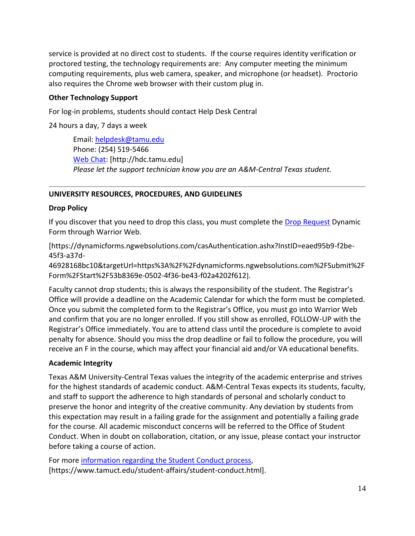service is provided at no direct cost to students. If the course requires identity verification or proctored testing, the technology requirements are: Any computer meeting the minimum computing requirements, plus web camera, speaker, and microphone (or headset). Proctorio also requires the Chrome web browser with their custom plug in.

## **Other Technology Support**

For log-in problems, students should contact Help Desk Central

24 hours a day, 7 days a week

Email: [helpdesk@tamu.edu](mailto:helpdesk@tamu.edu) Phone: (254) 519-5466 [Web Chat:](http://hdc.tamu.edu/) [http://hdc.tamu.edu] *Please let the support technician know you are an A&M-Central Texas student.*

## **UNIVERSITY RESOURCES, PROCEDURES, AND GUIDELINES**

## **Drop Policy**

If you discover that you need to drop this class, you must complete the [Drop Request](https://dynamicforms.ngwebsolutions.com/casAuthentication.ashx?InstID=eaed95b9-f2be-45f3-a37d-46928168bc10&targetUrl=https%3A%2F%2Fdynamicforms.ngwebsolutions.com%2FSubmit%2FForm%2FStart%2F53b8369e-0502-4f36-be43-f02a4202f612) Dynamic Form through Warrior Web.

[https://dynamicforms.ngwebsolutions.com/casAuthentication.ashx?InstID=eaed95b9-f2be-45f3-a37d-

46928168bc10&targetUrl=https%3A%2F%2Fdynamicforms.ngwebsolutions.com%2FSubmit%2F Form%2FStart%2F53b8369e-0502-4f36-be43-f02a4202f612].

Faculty cannot drop students; this is always the responsibility of the student. The Registrar's Office will provide a deadline on the Academic Calendar for which the form must be completed. Once you submit the completed form to the Registrar's Office, you must go into Warrior Web and confirm that you are no longer enrolled. If you still show as enrolled, FOLLOW-UP with the Registrar's Office immediately. You are to attend class until the procedure is complete to avoid penalty for absence. Should you miss the drop deadline or fail to follow the procedure, you will receive an F in the course, which may affect your financial aid and/or VA educational benefits.

## **Academic Integrity**

Texas A&M University-Central Texas values the integrity of the academic enterprise and strives for the highest standards of academic conduct. A&M-Central Texas expects its students, faculty, and staff to support the adherence to high standards of personal and scholarly conduct to preserve the honor and integrity of the creative community. Any deviation by students from this expectation may result in a failing grade for the assignment and potentially a failing grade for the course. All academic misconduct concerns will be referred to the Office of Student Conduct. When in doubt on collaboration, citation, or any issue, please contact your instructor before taking a course of action.

For more [information](https://nam04.safelinks.protection.outlook.com/?url=https%3A%2F%2Fwww.tamuct.edu%2Fstudent-affairs%2Fstudent-conduct.html&data=04%7C01%7Clisa.bunkowski%40tamuct.edu%7Ccfb6e486f24745f53e1a08d910055cb2%7C9eed4e3000f744849ff193ad8005acec%7C0%7C0%7C637558437485252160%7CUnknown%7CTWFpbGZsb3d8eyJWIjoiMC4wLjAwMDAiLCJQIjoiV2luMzIiLCJBTiI6Ik1haWwiLCJXVCI6Mn0%3D%7C1000&sdata=yjftDEVHvLX%2FhM%2FcFU0B99krV1RgEWR%2BJ%2BhvtoR6TYk%3D&reserved=0) regarding the Student Conduct process, [https://www.tamuct.edu/student-affairs/student-conduct.html].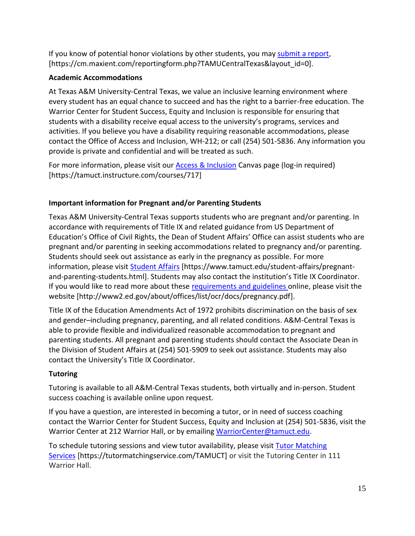If you know of potential honor violations by other students, you may [submit](https://nam04.safelinks.protection.outlook.com/?url=https%3A%2F%2Fcm.maxient.com%2Freportingform.php%3FTAMUCentralTexas%26layout_id%3D0&data=04%7C01%7Clisa.bunkowski%40tamuct.edu%7Ccfb6e486f24745f53e1a08d910055cb2%7C9eed4e3000f744849ff193ad8005acec%7C0%7C0%7C637558437485262157%7CUnknown%7CTWFpbGZsb3d8eyJWIjoiMC4wLjAwMDAiLCJQIjoiV2luMzIiLCJBTiI6Ik1haWwiLCJXVCI6Mn0%3D%7C1000&sdata=CXGkOa6uPDPX1IMZ87z3aZDq2n91xfHKu4MMS43Ejjk%3D&reserved=0) a report, [https://cm.maxient.com/reportingform.php?TAMUCentralTexas&layout\_id=0].

## **Academic Accommodations**

At Texas A&M University-Central Texas, we value an inclusive learning environment where every student has an equal chance to succeed and has the right to a barrier-free education. The Warrior Center for Student Success, Equity and Inclusion is responsible for ensuring that students with a disability receive equal access to the university's programs, services and activities. If you believe you have a disability requiring reasonable accommodations, please contact the Office of Access and Inclusion, WH-212; or call (254) 501-5836. Any information you provide is private and confidential and will be treated as such.

For more information, please visit our [Access & Inclusion](about:blank) Canvas page (log-in required) [https://tamuct.instructure.com/courses/717]

# **Important information for Pregnant and/or Parenting Students**

Texas A&M University-Central Texas supports students who are pregnant and/or parenting. In accordance with requirements of Title IX and related guidance from US Department of Education's Office of Civil Rights, the Dean of Student Affairs' Office can assist students who are pregnant and/or parenting in seeking accommodations related to pregnancy and/or parenting. Students should seek out assistance as early in the pregnancy as possible. For more information, please visit [Student Affairs](https://www.tamuct.edu/student-affairs/pregnant-and-parenting-students.html) [https://www.tamuct.edu/student-affairs/pregnantand-parenting-students.html]. Students may also contact the institution's Title IX Coordinator. If you would like to read more about these [requirements and guidelines](http://www2.ed.gov/about/offices/list/ocr/docs/pregnancy.pdf) online, please visit the website [http://www2.ed.gov/about/offices/list/ocr/docs/pregnancy.pdf].

Title IX of the Education Amendments Act of 1972 prohibits discrimination on the basis of sex and gender–including pregnancy, parenting, and all related conditions. A&M-Central Texas is able to provide flexible and individualized reasonable accommodation to pregnant and parenting students. All pregnant and parenting students should contact the Associate Dean in the Division of Student Affairs at (254) 501-5909 to seek out assistance. Students may also contact the University's Title IX Coordinator.

# **Tutoring**

Tutoring is available to all A&M-Central Texas students, both virtually and in-person. Student success coaching is available online upon request.

If you have a question, are interested in becoming a tutor, or in need of success coaching contact the Warrior Center for Student Success, Equity and Inclusion at (254) 501-5836, visit the Warrior Center at 212 Warrior Hall, or by emailing [WarriorCenter@tamuct.edu.](about:blank)

To schedule tutoring sessions and view tutor availability, please visit Tutor [Matching](about:blank) [Services](about:blank) [https://tutormatchingservice.com/TAMUCT] or visit the Tutoring Center in 111 Warrior Hall.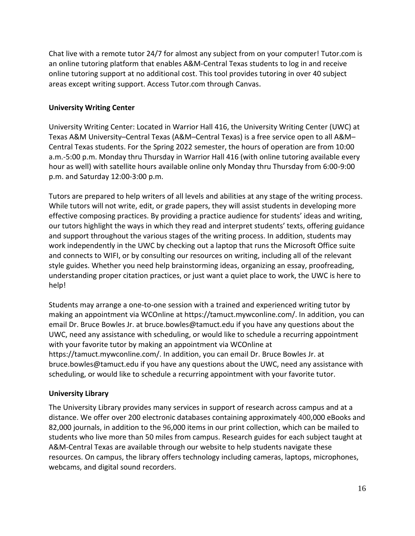Chat live with a remote tutor 24/7 for almost any subject from on your computer! Tutor.com is an online tutoring platform that enables A&M-Central Texas students to log in and receive online tutoring support at no additional cost. This tool provides tutoring in over 40 subject areas except writing support. Access Tutor.com through Canvas.

## **University Writing Center**

University Writing Center: Located in Warrior Hall 416, the University Writing Center (UWC) at Texas A&M University–Central Texas (A&M–Central Texas) is a free service open to all A&M– Central Texas students. For the Spring 2022 semester, the hours of operation are from 10:00 a.m.-5:00 p.m. Monday thru Thursday in Warrior Hall 416 (with online tutoring available every hour as well) with satellite hours available online only Monday thru Thursday from 6:00-9:00 p.m. and Saturday 12:00-3:00 p.m.

Tutors are prepared to help writers of all levels and abilities at any stage of the writing process. While tutors will not write, edit, or grade papers, they will assist students in developing more effective composing practices. By providing a practice audience for students' ideas and writing, our tutors highlight the ways in which they read and interpret students' texts, offering guidance and support throughout the various stages of the writing process. In addition, students may work independently in the UWC by checking out a laptop that runs the Microsoft Office suite and connects to WIFI, or by consulting our resources on writing, including all of the relevant style guides. Whether you need help brainstorming ideas, organizing an essay, proofreading, understanding proper citation practices, or just want a quiet place to work, the UWC is here to help!

Students may arrange a one-to-one session with a trained and experienced writing tutor by making an appointment via WCOnline at https://tamuct.mywconline.com/. In addition, you can email Dr. Bruce Bowles Jr. at bruce.bowles@tamuct.edu if you have any questions about the UWC, need any assistance with scheduling, or would like to schedule a recurring appointment with your favorite tutor by making an appointment via WCOnline at https://tamuct.mywconline.com/. In addition, you can email Dr. Bruce Bowles Jr. at bruce.bowles@tamuct.edu if you have any questions about the UWC, need any assistance with scheduling, or would like to schedule a recurring appointment with your favorite tutor.

## **University Library**

The University Library provides many services in support of research across campus and at a distance. We offer over 200 electronic databases containing approximately 400,000 eBooks and 82,000 journals, in addition to the 96,000 items in our print collection, which can be mailed to students who live more than 50 miles from campus. Research guides for each subject taught at A&M-Central Texas are available through our website to help students navigate these resources. On campus, the library offers technology including cameras, laptops, microphones, webcams, and digital sound recorders.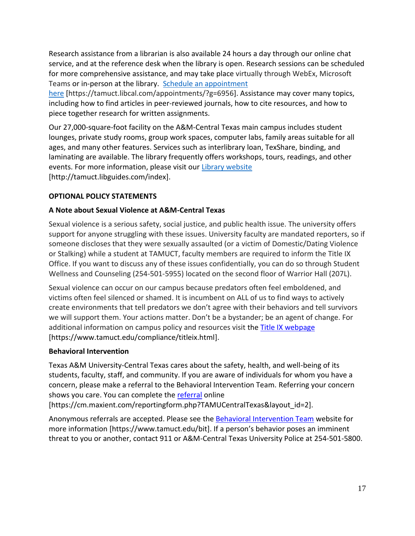Research assistance from a librarian is also available 24 hours a day through our online chat service, and at the reference desk when the library is open. Research sessions can be scheduled for more comprehensive assistance, and may take place virtually through WebEx, Microsoft Teams or in-person at the library. Schedule an [appointment](about:blank)

[here](about:blank) [https://tamuct.libcal.com/appointments/?g=6956]. Assistance may cover many topics, including how to find articles in peer-reviewed journals, how to cite resources, and how to piece together research for written assignments.

Our 27,000-square-foot facility on the A&M-Central Texas main campus includes student lounges, private study rooms, group work spaces, computer labs, family areas suitable for all ages, and many other features. Services such as interlibrary loan, TexShare, binding, and laminating are available. The library frequently offers workshops, tours, readings, and other events. For more information, please visit our Library [website](about:blank) [http://tamuct.libguides.com/index].

## **OPTIONAL POLICY STATEMENTS**

#### **A Note about Sexual Violence at A&M-Central Texas**

Sexual violence is a serious safety, social justice, and public health issue. The university offers support for anyone struggling with these issues. University faculty are mandated reporters, so if someone discloses that they were sexually assaulted (or a victim of Domestic/Dating Violence or Stalking) while a student at TAMUCT, faculty members are required to inform the Title IX Office. If you want to discuss any of these issues confidentially, you can do so through Student Wellness and Counseling (254-501-5955) located on the second floor of Warrior Hall (207L).

Sexual violence can occur on our campus because predators often feel emboldened, and victims often feel silenced or shamed. It is incumbent on ALL of us to find ways to actively create environments that tell predators we don't agree with their behaviors and tell survivors we will support them. Your actions matter. Don't be a bystander; be an agent of change. For additional information on campus policy and resources visit the [Title IX webpage](https://www.tamuct.edu/compliance/titleix.html) [\[https://www.tamuct.edu/compliance/titleix.html\]](https://www.tamuct.edu/compliance/titleix.html).

#### **Behavioral Intervention**

Texas A&M University-Central Texas cares about the safety, health, and well-being of its students, faculty, staff, and community. If you are aware of individuals for whom you have a concern, please make a referral to the Behavioral Intervention Team. Referring your concern shows you care. You can complete the [referral](https://cm.maxient.com/reportingform.php?TAMUCentralTexas&layout_id=2) online

[https://cm.maxient.com/reportingform.php?TAMUCentralTexas&layout\_id=2].

Anonymous referrals are accepted. Please see the [Behavioral Intervention Team](https://www.tamuct.edu/bit) website for more information [https://www.tamuct.edu/bit]. If a person's behavior poses an imminent threat to you or another, contact 911 or A&M-Central Texas University Police at 254-501-5800.